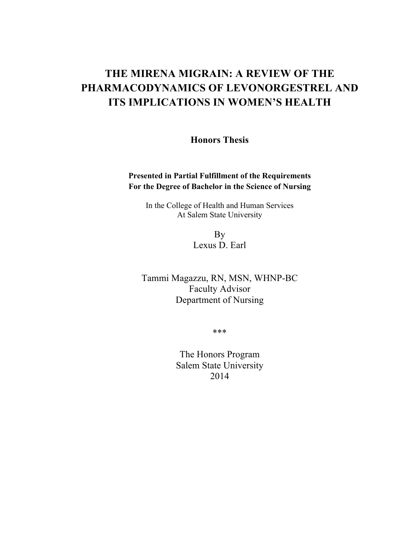## **THE MIRENA MIGRAIN: A REVIEW OF THE PHARMACODYNAMICS OF LEVONORGESTREL AND ITS IMPLICATIONS IN WOMEN'S HEALTH**

**Honors Thesis**

#### **Presented in Partial Fulfillment of the Requirements For the Degree of Bachelor in the Science of Nursing**

In the College of Health and Human Services At Salem State University

> By Lexus D. Earl

Tammi Magazzu, RN, MSN, WHNP-BC Faculty Advisor Department of Nursing

\*\*\*

The Honors Program Salem State University 2014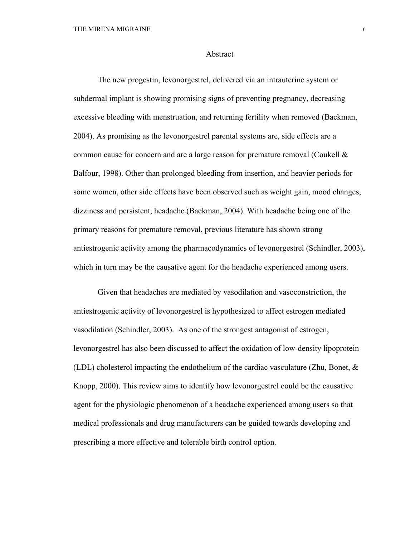#### Abstract

The new progestin, levonorgestrel, delivered via an intrauterine system or subdermal implant is showing promising signs of preventing pregnancy, decreasing excessive bleeding with menstruation, and returning fertility when removed (Backman, 2004). As promising as the levonorgestrel parental systems are, side effects are a common cause for concern and are a large reason for premature removal (Coukell & Balfour, 1998). Other than prolonged bleeding from insertion, and heavier periods for some women, other side effects have been observed such as weight gain, mood changes, dizziness and persistent, headache (Backman, 2004). With headache being one of the primary reasons for premature removal, previous literature has shown strong antiestrogenic activity among the pharmacodynamics of levonorgestrel (Schindler, 2003), which in turn may be the causative agent for the headache experienced among users.

Given that headaches are mediated by vasodilation and vasoconstriction, the antiestrogenic activity of levonorgestrel is hypothesized to affect estrogen mediated vasodilation (Schindler, 2003). As one of the strongest antagonist of estrogen, levonorgestrel has also been discussed to affect the oxidation of low-density lipoprotein (LDL) cholesterol impacting the endothelium of the cardiac vasculature (Zhu, Bonet,  $\&$ Knopp, 2000). This review aims to identify how levonorgestrel could be the causative agent for the physiologic phenomenon of a headache experienced among users so that medical professionals and drug manufacturers can be guided towards developing and prescribing a more effective and tolerable birth control option.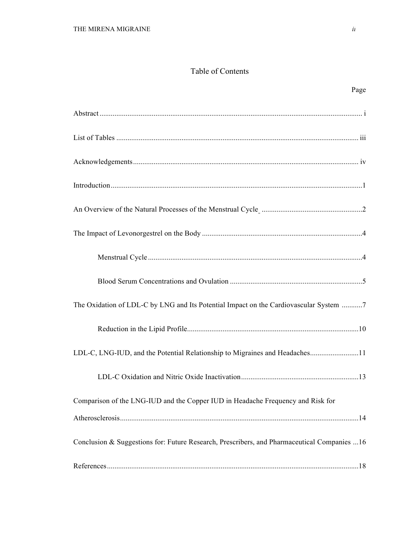#### Table of Contents

| Page                                                                                                                                                          |  |
|---------------------------------------------------------------------------------------------------------------------------------------------------------------|--|
|                                                                                                                                                               |  |
|                                                                                                                                                               |  |
|                                                                                                                                                               |  |
|                                                                                                                                                               |  |
| An Overview of the Natural Processes of the Menstrual Cycle Manuscritt Ann Overview of the Natural Processes of the Menstrual Cycle Manuscritt Ann Overview 2 |  |
|                                                                                                                                                               |  |
|                                                                                                                                                               |  |
|                                                                                                                                                               |  |
| The Oxidation of LDL-C by LNG and Its Potential Impact on the Cardiovascular System 7                                                                         |  |
|                                                                                                                                                               |  |
| LDL-C, LNG-IUD, and the Potential Relationship to Migraines and Headaches11                                                                                   |  |
|                                                                                                                                                               |  |
| Comparison of the LNG-IUD and the Copper IUD in Headache Frequency and Risk for                                                                               |  |
|                                                                                                                                                               |  |

Conclusion & Suggestions for: Future Research, Prescribers, and Pharmaceutical Companies ...16

References.......................................................................................................................................18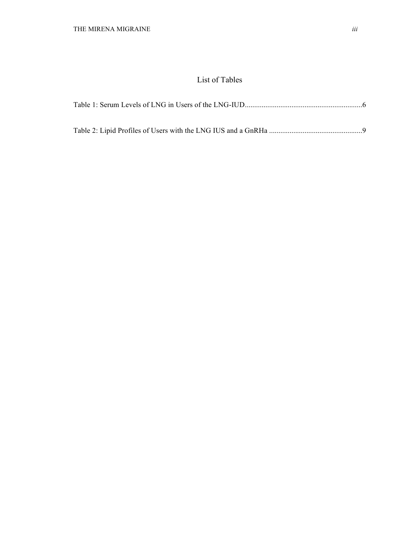### List of Tables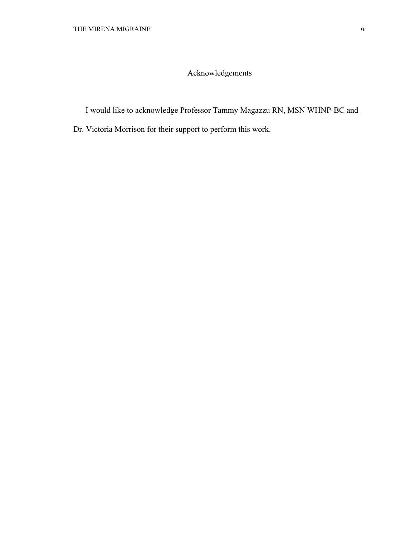## Acknowledgements

I would like to acknowledge Professor Tammy Magazzu RN, MSN WHNP-BC and

Dr. Victoria Morrison for their support to perform this work.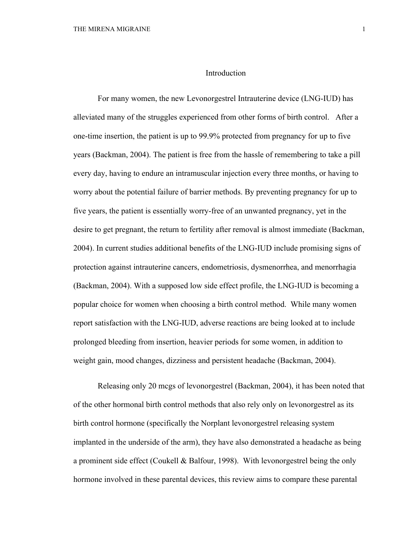#### Introduction

For many women, the new Levonorgestrel Intrauterine device (LNG-IUD) has alleviated many of the struggles experienced from other forms of birth control. After a one-time insertion, the patient is up to 99.9% protected from pregnancy for up to five years (Backman, 2004). The patient is free from the hassle of remembering to take a pill every day, having to endure an intramuscular injection every three months, or having to worry about the potential failure of barrier methods. By preventing pregnancy for up to five years, the patient is essentially worry-free of an unwanted pregnancy, yet in the desire to get pregnant, the return to fertility after removal is almost immediate (Backman, 2004). In current studies additional benefits of the LNG-IUD include promising signs of protection against intrauterine cancers, endometriosis, dysmenorrhea, and menorrhagia (Backman, 2004). With a supposed low side effect profile, the LNG-IUD is becoming a popular choice for women when choosing a birth control method. While many women report satisfaction with the LNG-IUD, adverse reactions are being looked at to include prolonged bleeding from insertion, heavier periods for some women, in addition to weight gain, mood changes, dizziness and persistent headache (Backman, 2004).

Releasing only 20 mcgs of levonorgestrel (Backman, 2004), it has been noted that of the other hormonal birth control methods that also rely only on levonorgestrel as its birth control hormone (specifically the Norplant levonorgestrel releasing system implanted in the underside of the arm), they have also demonstrated a headache as being a prominent side effect (Coukell & Balfour, 1998). With levonorgestrel being the only hormone involved in these parental devices, this review aims to compare these parental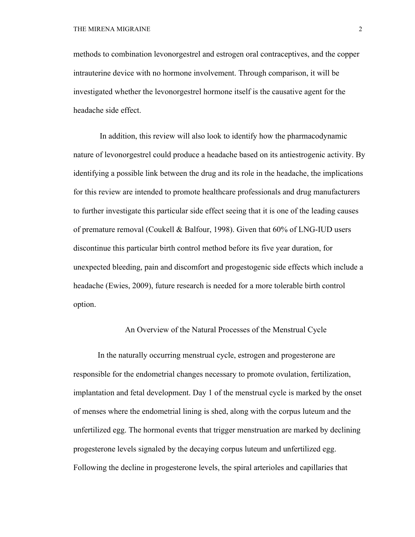methods to combination levonorgestrel and estrogen oral contraceptives, and the copper intrauterine device with no hormone involvement. Through comparison, it will be investigated whether the levonorgestrel hormone itself is the causative agent for the headache side effect.

In addition, this review will also look to identify how the pharmacodynamic nature of levonorgestrel could produce a headache based on its antiestrogenic activity. By identifying a possible link between the drug and its role in the headache, the implications for this review are intended to promote healthcare professionals and drug manufacturers to further investigate this particular side effect seeing that it is one of the leading causes of premature removal (Coukell & Balfour, 1998). Given that 60% of LNG-IUD users discontinue this particular birth control method before its five year duration, for unexpected bleeding, pain and discomfort and progestogenic side effects which include a headache (Ewies, 2009), future research is needed for a more tolerable birth control option.

#### An Overview of the Natural Processes of the Menstrual Cycle

In the naturally occurring menstrual cycle, estrogen and progesterone are responsible for the endometrial changes necessary to promote ovulation, fertilization, implantation and fetal development. Day 1 of the menstrual cycle is marked by the onset of menses where the endometrial lining is shed, along with the corpus luteum and the unfertilized egg. The hormonal events that trigger menstruation are marked by declining progesterone levels signaled by the decaying corpus luteum and unfertilized egg. Following the decline in progesterone levels, the spiral arterioles and capillaries that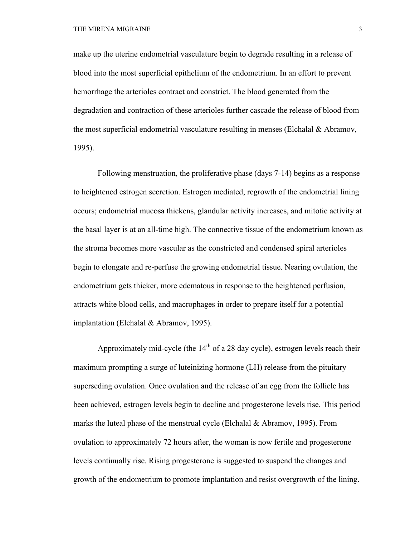make up the uterine endometrial vasculature begin to degrade resulting in a release of blood into the most superficial epithelium of the endometrium. In an effort to prevent hemorrhage the arterioles contract and constrict. The blood generated from the degradation and contraction of these arterioles further cascade the release of blood from the most superficial endometrial vasculature resulting in menses (Elchalal & Abramov, 1995).

Following menstruation, the proliferative phase (days 7-14) begins as a response to heightened estrogen secretion. Estrogen mediated, regrowth of the endometrial lining occurs; endometrial mucosa thickens, glandular activity increases, and mitotic activity at the basal layer is at an all-time high. The connective tissue of the endometrium known as the stroma becomes more vascular as the constricted and condensed spiral arterioles begin to elongate and re-perfuse the growing endometrial tissue. Nearing ovulation, the endometrium gets thicker, more edematous in response to the heightened perfusion, attracts white blood cells, and macrophages in order to prepare itself for a potential implantation (Elchalal & Abramov, 1995).

Approximately mid-cycle (the  $14<sup>th</sup>$  of a 28 day cycle), estrogen levels reach their maximum prompting a surge of luteinizing hormone (LH) release from the pituitary superseding ovulation. Once ovulation and the release of an egg from the follicle has been achieved, estrogen levels begin to decline and progesterone levels rise. This period marks the luteal phase of the menstrual cycle (Elchalal  $\&$  Abramov, 1995). From ovulation to approximately 72 hours after, the woman is now fertile and progesterone levels continually rise. Rising progesterone is suggested to suspend the changes and growth of the endometrium to promote implantation and resist overgrowth of the lining.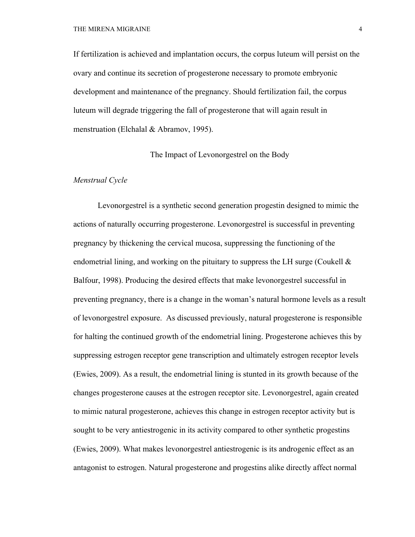If fertilization is achieved and implantation occurs, the corpus luteum will persist on the ovary and continue its secretion of progesterone necessary to promote embryonic development and maintenance of the pregnancy. Should fertilization fail, the corpus luteum will degrade triggering the fall of progesterone that will again result in menstruation (Elchalal & Abramov, 1995).

The Impact of Levonorgestrel on the Body

#### *Menstrual Cycle*

Levonorgestrel is a synthetic second generation progestin designed to mimic the actions of naturally occurring progesterone. Levonorgestrel is successful in preventing pregnancy by thickening the cervical mucosa, suppressing the functioning of the endometrial lining, and working on the pituitary to suppress the LH surge (Coukell  $\&$ Balfour, 1998). Producing the desired effects that make levonorgestrel successful in preventing pregnancy, there is a change in the woman's natural hormone levels as a result of levonorgestrel exposure. As discussed previously, natural progesterone is responsible for halting the continued growth of the endometrial lining. Progesterone achieves this by suppressing estrogen receptor gene transcription and ultimately estrogen receptor levels (Ewies, 2009). As a result, the endometrial lining is stunted in its growth because of the changes progesterone causes at the estrogen receptor site. Levonorgestrel, again created to mimic natural progesterone, achieves this change in estrogen receptor activity but is sought to be very antiestrogenic in its activity compared to other synthetic progestins (Ewies, 2009). What makes levonorgestrel antiestrogenic is its androgenic effect as an antagonist to estrogen. Natural progesterone and progestins alike directly affect normal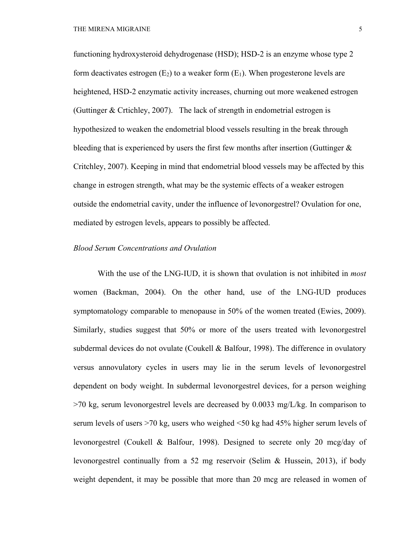functioning hydroxysteroid dehydrogenase (HSD); HSD-2 is an enzyme whose type 2 form deactivates estrogen  $(E_2)$  to a weaker form  $(E_1)$ . When progesterone levels are heightened, HSD-2 enzymatic activity increases, churning out more weakened estrogen (Guttinger & Crtichley, 2007). The lack of strength in endometrial estrogen is hypothesized to weaken the endometrial blood vessels resulting in the break through bleeding that is experienced by users the first few months after insertion (Guttinger  $\&$ Critchley, 2007). Keeping in mind that endometrial blood vessels may be affected by this change in estrogen strength, what may be the systemic effects of a weaker estrogen outside the endometrial cavity, under the influence of levonorgestrel? Ovulation for one, mediated by estrogen levels, appears to possibly be affected.

#### *Blood Serum Concentrations and Ovulation*

With the use of the LNG-IUD, it is shown that ovulation is not inhibited in *most* women (Backman, 2004). On the other hand, use of the LNG-IUD produces symptomatology comparable to menopause in 50% of the women treated (Ewies, 2009). Similarly, studies suggest that 50% or more of the users treated with levonorgestrel subdermal devices do not ovulate (Coukell & Balfour, 1998). The difference in ovulatory versus annovulatory cycles in users may lie in the serum levels of levonorgestrel dependent on body weight. In subdermal levonorgestrel devices, for a person weighing  $>70$  kg, serum levonorgestrel levels are decreased by 0.0033 mg/L/kg. In comparison to serum levels of users >70 kg, users who weighed <50 kg had 45% higher serum levels of levonorgestrel (Coukell & Balfour, 1998). Designed to secrete only 20 mcg/day of levonorgestrel continually from a 52 mg reservoir (Selim & Hussein, 2013), if body weight dependent, it may be possible that more than 20 mcg are released in women of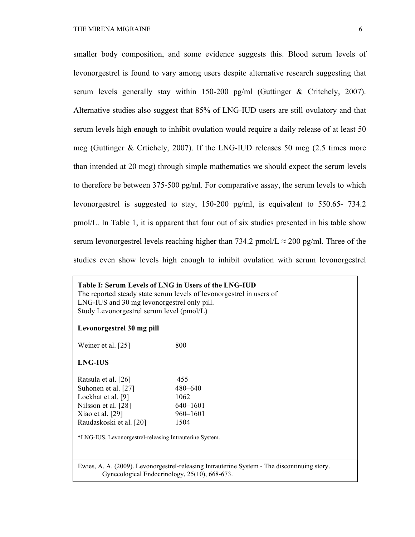smaller body composition, and some evidence suggests this. Blood serum levels of levonorgestrel is found to vary among users despite alternative research suggesting that serum levels generally stay within  $150-200$  pg/ml (Guttinger & Critchely, 2007). Alternative studies also suggest that 85% of LNG-IUD users are still ovulatory and that serum levels high enough to inhibit ovulation would require a daily release of at least 50 mcg (Guttinger & Crtichely, 2007). If the LNG-IUD releases 50 mcg (2.5 times more than intended at 20 mcg) through simple mathematics we should expect the serum levels to therefore be between 375-500 pg/ml. For comparative assay, the serum levels to which levonorgestrel is suggested to stay, 150-200 pg/ml, is equivalent to 550.65- 734.2 pmol/L. In Table 1, it is apparent that four out of six studies presented in his table show serum levonorgestrel levels reaching higher than 734.2 pmol/L  $\approx$  200 pg/ml. Three of the studies even show levels high enough to inhibit ovulation with serum levonorgestrel

## **Table I: Serum Levels of LNG in Users of the LNG-IUD** The reported steady state serum levels of levonorgestrel in users of LNG-IUS and 30 mg levonorgestrel only pill. Study Levonorgestrel serum level (pmol/L)

#### **Levonorgestrel 30 mg pill**

| Weiner et al. [25]                                                                                                                       | 800                                                    |
|------------------------------------------------------------------------------------------------------------------------------------------|--------------------------------------------------------|
| <b>LNG-IUS</b>                                                                                                                           |                                                        |
| Ratsula et al. [26]<br>Suhonen et al. [27]<br>Lockhat et al. [9]<br>Nilsson et al. [28]<br>Xiao et al. $[29]$<br>Raudaskoski et al. [20] | 455<br>480-640<br>1062<br>640-1601<br>960–1601<br>1504 |

\*LNG-IUS, Levonorgestrel-releasing Intrauterine System.

Ewies, A. A. (2009). Levonorgestrel-releasing Intrauterine System - The discontinuing story. Gynecological Endocrinology, 25(10), 668-673.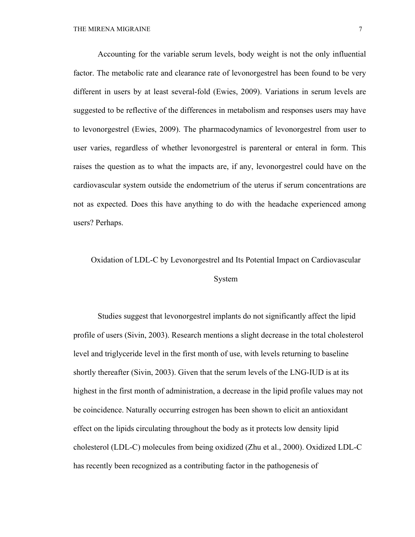Accounting for the variable serum levels, body weight is not the only influential factor. The metabolic rate and clearance rate of levonorgestrel has been found to be very different in users by at least several-fold (Ewies, 2009). Variations in serum levels are suggested to be reflective of the differences in metabolism and responses users may have to levonorgestrel (Ewies, 2009). The pharmacodynamics of levonorgestrel from user to user varies, regardless of whether levonorgestrel is parenteral or enteral in form. This raises the question as to what the impacts are, if any, levonorgestrel could have on the cardiovascular system outside the endometrium of the uterus if serum concentrations are not as expected. Does this have anything to do with the headache experienced among users? Perhaps.

# Oxidation of LDL-C by Levonorgestrel and Its Potential Impact on Cardiovascular System

Studies suggest that levonorgestrel implants do not significantly affect the lipid profile of users (Sivin, 2003). Research mentions a slight decrease in the total cholesterol level and triglyceride level in the first month of use, with levels returning to baseline shortly thereafter (Sivin, 2003). Given that the serum levels of the LNG-IUD is at its highest in the first month of administration, a decrease in the lipid profile values may not be coincidence. Naturally occurring estrogen has been shown to elicit an antioxidant effect on the lipids circulating throughout the body as it protects low density lipid cholesterol (LDL-C) molecules from being oxidized (Zhu et al., 2000). Oxidized LDL-C has recently been recognized as a contributing factor in the pathogenesis of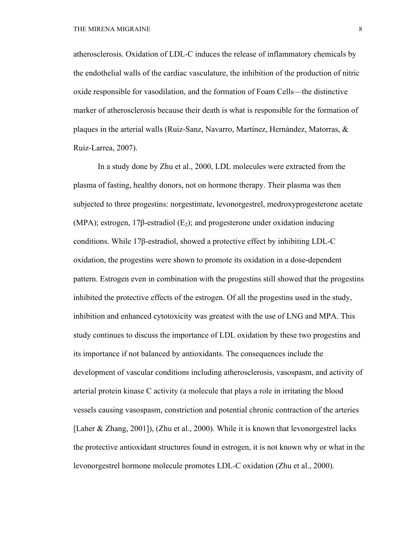atherosclerosis. Oxidation of LDL-C induces the release of inflammatory chemicals by the endothelial walls of the cardiac vasculature, the inhibition of the production of nitric oxide responsible for vasodilation, and the formation of Foam Cells—the distinctive marker of atherosclerosis because their death is what is responsible for the formation of plaques in the arterial walls (Ruiz-Sanz, Navarro, Martínez, Hernández, Matorras, & Ruiz-Larrea, 2007).

In a study done by Zhu et al., 2000, LDL molecules were extracted from the plasma of fasting, healthy donors, not on hormone therapy. Their plasma was then subjected to three progestins: norgestimate, levonorgestrel, medroxyprogesterone acetate (MPA); estrogen, 17 $\beta$ -estradiol (E<sub>2</sub>); and progesterone under oxidation inducing conditions. While 17β-estradiol, showed a protective effect by inhibiting LDL-C oxidation, the progestins were shown to promote its oxidation in a dose-dependent pattern. Estrogen even in combination with the progestins still showed that the progestins inhibited the protective effects of the estrogen. Of all the progestins used in the study, inhibition and enhanced cytotoxicity was greatest with the use of LNG and MPA. This study continues to discuss the importance of LDL oxidation by these two progestins and its importance if not balanced by antioxidants. The consequences include the development of vascular conditions including atherosclerosis, vasospasm, and activity of arterial protein kinase C activity (a molecule that plays a role in irritating the blood vessels causing vasospasm, constriction and potential chronic contraction of the arteries [Laher & Zhang, 2001]), (Zhu et al., 2000). While it is known that levonorgestrel lacks the protective antioxidant structures found in estrogen, it is not known why or what in the levonorgestrel hormone molecule promotes LDL-C oxidation (Zhu et al., 2000).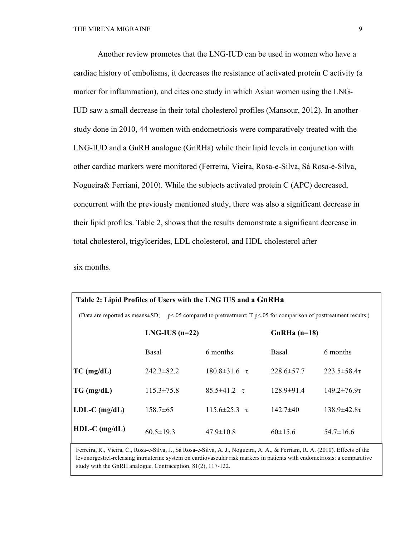Another review promotes that the LNG-IUD can be used in women who have a cardiac history of embolisms, it decreases the resistance of activated protein C activity (a marker for inflammation), and cites one study in which Asian women using the LNG-IUD saw a small decrease in their total cholesterol profiles (Mansour, 2012). In another study done in 2010, 44 women with endometriosis were comparatively treated with the LNG-IUD and a GnRH analogue (GnRHa) while their lipid levels in conjunction with other cardiac markers were monitored (Ferreira, Vieira, Rosa-e-Silva, Sá Rosa-e-Silva, Nogueira& Ferriani, 2010). While the subjects activated protein C (APC) decreased, concurrent with the previously mentioned study, there was also a significant decrease in their lipid profiles. Table 2, shows that the results demonstrate a significant decrease in total cholesterol, trigylcerides, LDL cholesterol, and HDL cholesterol after

six months.

| Table 2: Lipid Profiles of Users with the LNG IUS and a GnRHa                                                           |                   |                             |                  |                       |  |  |  |  |
|-------------------------------------------------------------------------------------------------------------------------|-------------------|-----------------------------|------------------|-----------------------|--|--|--|--|
| (Data are reported as means $\pm$ SD; p<.05 compared to pretreatment; T p<.05 for comparison of posttreatment results.) |                   |                             |                  |                       |  |  |  |  |
|                                                                                                                         | $LNG- IUS (n=22)$ |                             | $GnRHa(n=18)$    |                       |  |  |  |  |
|                                                                                                                         | Basal             | 6 months                    | Basal            | 6 months              |  |  |  |  |
| $TC$ (mg/dL)                                                                                                            | $242.3 \pm 82.2$  | $180.8 \pm 31.6 \quad \tau$ | $228.6 \pm 57.7$ | $223.5 \pm 58.4\tau$  |  |  |  |  |
| TG (mg/dL)                                                                                                              | $115.3 \pm 75.8$  | $85.5 \pm 41.2 \quad \tau$  | $128.9 \pm 91.4$ | $149.2 \pm 76.9 \tau$ |  |  |  |  |
| $LDL-C$ (mg/dL)                                                                                                         | $158.7 \pm 65$    | $115.6 \pm 25.3 \tau$       | $142.7\pm 40$    | $138.9 \pm 42.8 \tau$ |  |  |  |  |
| $HDL-C$ (mg/dL)                                                                                                         | $60.5 \pm 19.3$   | $47.9 \pm 10.8$             | $60\pm15.6$      | $54.7 \pm 16.6$       |  |  |  |  |

Ferreira, R., Vieira, C., Rosa-e-Silva, J., Sá Rosa-e-Silva, A. J., Nogueira, A. A., & Ferriani, R. A. (2010). Effects of the levonorgestrel-releasing intrauterine system on cardiovascular risk markers in patients with endometriosis: a comparative study with the GnRH analogue. Contraception, 81(2), 117-122.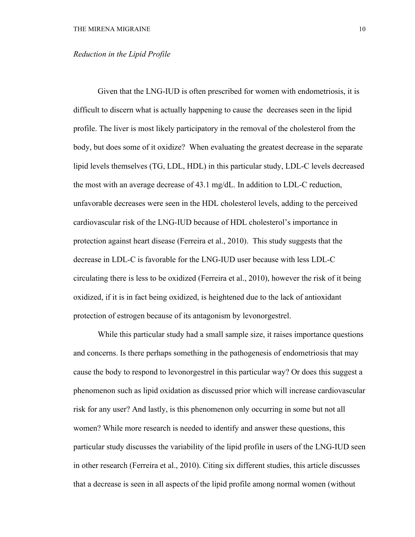#### *Reduction in the Lipid Profile*

Given that the LNG-IUD is often prescribed for women with endometriosis, it is difficult to discern what is actually happening to cause the decreases seen in the lipid profile. The liver is most likely participatory in the removal of the cholesterol from the body, but does some of it oxidize? When evaluating the greatest decrease in the separate lipid levels themselves (TG, LDL, HDL) in this particular study, LDL-C levels decreased the most with an average decrease of 43.1 mg/dL. In addition to LDL-C reduction, unfavorable decreases were seen in the HDL cholesterol levels, adding to the perceived cardiovascular risk of the LNG-IUD because of HDL cholesterol's importance in protection against heart disease (Ferreira et al., 2010). This study suggests that the decrease in LDL-C is favorable for the LNG-IUD user because with less LDL-C circulating there is less to be oxidized (Ferreira et al., 2010), however the risk of it being oxidized, if it is in fact being oxidized, is heightened due to the lack of antioxidant protection of estrogen because of its antagonism by levonorgestrel.

While this particular study had a small sample size, it raises importance questions and concerns. Is there perhaps something in the pathogenesis of endometriosis that may cause the body to respond to levonorgestrel in this particular way? Or does this suggest a phenomenon such as lipid oxidation as discussed prior which will increase cardiovascular risk for any user? And lastly, is this phenomenon only occurring in some but not all women? While more research is needed to identify and answer these questions, this particular study discusses the variability of the lipid profile in users of the LNG-IUD seen in other research (Ferreira et al., 2010). Citing six different studies, this article discusses that a decrease is seen in all aspects of the lipid profile among normal women (without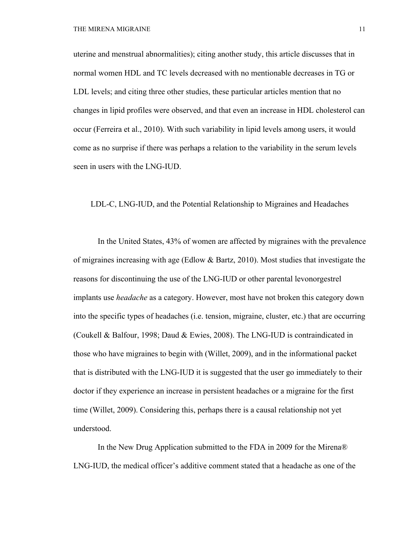uterine and menstrual abnormalities); citing another study, this article discusses that in normal women HDL and TC levels decreased with no mentionable decreases in TG or LDL levels; and citing three other studies, these particular articles mention that no changes in lipid profiles were observed, and that even an increase in HDL cholesterol can occur (Ferreira et al., 2010). With such variability in lipid levels among users, it would come as no surprise if there was perhaps a relation to the variability in the serum levels seen in users with the LNG-IUD.

LDL-C, LNG-IUD, and the Potential Relationship to Migraines and Headaches

In the United States, 43% of women are affected by migraines with the prevalence of migraines increasing with age (Edlow & Bartz, 2010). Most studies that investigate the reasons for discontinuing the use of the LNG-IUD or other parental levonorgestrel implants use *headache* as a category. However, most have not broken this category down into the specific types of headaches (i.e. tension, migraine, cluster, etc.) that are occurring (Coukell & Balfour, 1998; Daud & Ewies, 2008). The LNG-IUD is contraindicated in those who have migraines to begin with (Willet, 2009), and in the informational packet that is distributed with the LNG-IUD it is suggested that the user go immediately to their doctor if they experience an increase in persistent headaches or a migraine for the first time (Willet, 2009). Considering this, perhaps there is a causal relationship not yet understood.

In the New Drug Application submitted to the FDA in 2009 for the Mirena® LNG-IUD, the medical officer's additive comment stated that a headache as one of the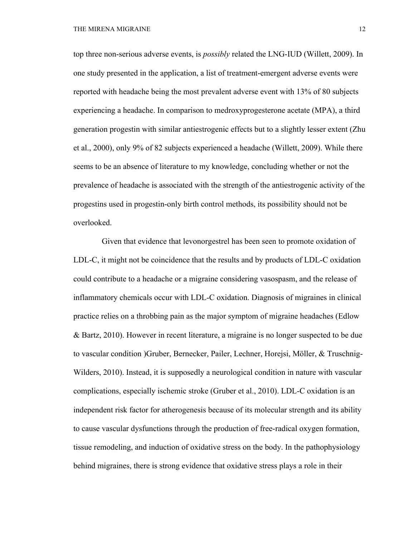top three non-serious adverse events, is *possibly* related the LNG-IUD (Willett, 2009). In one study presented in the application, a list of treatment-emergent adverse events were reported with headache being the most prevalent adverse event with 13% of 80 subjects experiencing a headache. In comparison to medroxyprogesterone acetate (MPA), a third generation progestin with similar antiestrogenic effects but to a slightly lesser extent (Zhu et al., 2000), only 9% of 82 subjects experienced a headache (Willett, 2009). While there seems to be an absence of literature to my knowledge, concluding whether or not the prevalence of headache is associated with the strength of the antiestrogenic activity of the progestins used in progestin-only birth control methods, its possibility should not be overlooked.

 Given that evidence that levonorgestrel has been seen to promote oxidation of LDL-C, it might not be coincidence that the results and by products of LDL-C oxidation could contribute to a headache or a migraine considering vasospasm, and the release of inflammatory chemicals occur with LDL-C oxidation. Diagnosis of migraines in clinical practice relies on a throbbing pain as the major symptom of migraine headaches (Edlow & Bartz, 2010). However in recent literature, a migraine is no longer suspected to be due to vascular condition )Gruber, Bernecker, Pailer, Lechner, Horejsi, Möller, & Truschnig-Wilders, 2010). Instead, it is supposedly a neurological condition in nature with vascular complications, especially ischemic stroke (Gruber et al., 2010). LDL-C oxidation is an independent risk factor for atherogenesis because of its molecular strength and its ability to cause vascular dysfunctions through the production of free-radical oxygen formation, tissue remodeling, and induction of oxidative stress on the body. In the pathophysiology behind migraines, there is strong evidence that oxidative stress plays a role in their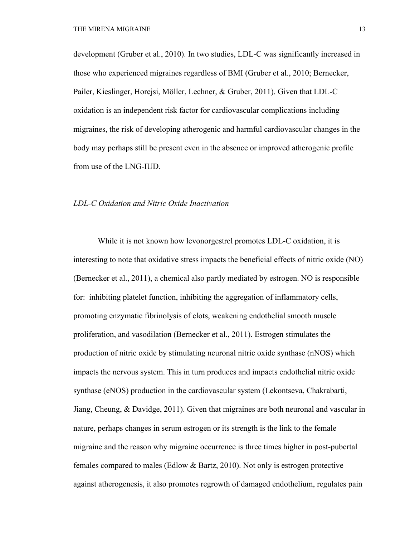development (Gruber et al., 2010). In two studies, LDL-C was significantly increased in those who experienced migraines regardless of BMI (Gruber et al., 2010; Bernecker, Pailer, Kieslinger, Horejsi, Möller, Lechner, & Gruber, 2011). Given that LDL-C oxidation is an independent risk factor for cardiovascular complications including migraines, the risk of developing atherogenic and harmful cardiovascular changes in the body may perhaps still be present even in the absence or improved atherogenic profile from use of the LNG-IUD.

#### *LDL-C Oxidation and Nitric Oxide Inactivation*

While it is not known how levonorgestrel promotes LDL-C oxidation, it is interesting to note that oxidative stress impacts the beneficial effects of nitric oxide (NO) (Bernecker et al., 2011), a chemical also partly mediated by estrogen. NO is responsible for: inhibiting platelet function, inhibiting the aggregation of inflammatory cells, promoting enzymatic fibrinolysis of clots, weakening endothelial smooth muscle proliferation, and vasodilation (Bernecker et al., 2011). Estrogen stimulates the production of nitric oxide by stimulating neuronal nitric oxide synthase (nNOS) which impacts the nervous system. This in turn produces and impacts endothelial nitric oxide synthase (eNOS) production in the cardiovascular system (Lekontseva, Chakrabarti, Jiang, Cheung, & Davidge, 2011). Given that migraines are both neuronal and vascular in nature, perhaps changes in serum estrogen or its strength is the link to the female migraine and the reason why migraine occurrence is three times higher in post-pubertal females compared to males (Edlow & Bartz, 2010). Not only is estrogen protective against atherogenesis, it also promotes regrowth of damaged endothelium, regulates pain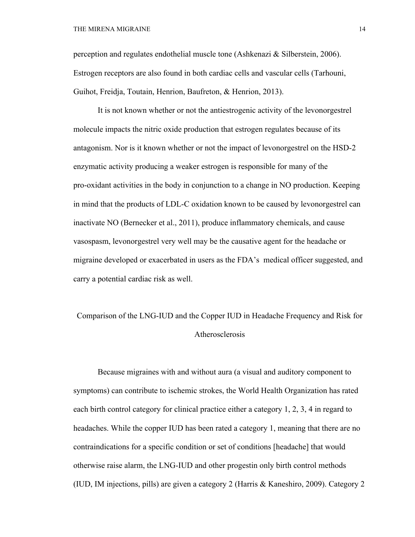perception and regulates endothelial muscle tone (Ashkenazi & Silberstein, 2006). Estrogen receptors are also found in both cardiac cells and vascular cells (Tarhouni, Guihot, Freidja, Toutain, Henrion, Baufreton, & Henrion, 2013).

It is not known whether or not the antiestrogenic activity of the levonorgestrel molecule impacts the nitric oxide production that estrogen regulates because of its antagonism. Nor is it known whether or not the impact of levonorgestrel on the HSD-2 enzymatic activity producing a weaker estrogen is responsible for many of the pro-oxidant activities in the body in conjunction to a change in NO production. Keeping in mind that the products of LDL-C oxidation known to be caused by levonorgestrel can inactivate NO (Bernecker et al., 2011), produce inflammatory chemicals, and cause vasospasm, levonorgestrel very well may be the causative agent for the headache or migraine developed or exacerbated in users as the FDA's medical officer suggested, and carry a potential cardiac risk as well.

# Comparison of the LNG-IUD and the Copper IUD in Headache Frequency and Risk for Atherosclerosis

Because migraines with and without aura (a visual and auditory component to symptoms) can contribute to ischemic strokes, the World Health Organization has rated each birth control category for clinical practice either a category 1, 2, 3, 4 in regard to headaches. While the copper IUD has been rated a category 1, meaning that there are no contraindications for a specific condition or set of conditions [headache] that would otherwise raise alarm, the LNG-IUD and other progestin only birth control methods (IUD, IM injections, pills) are given a category 2 (Harris & Kaneshiro, 2009). Category 2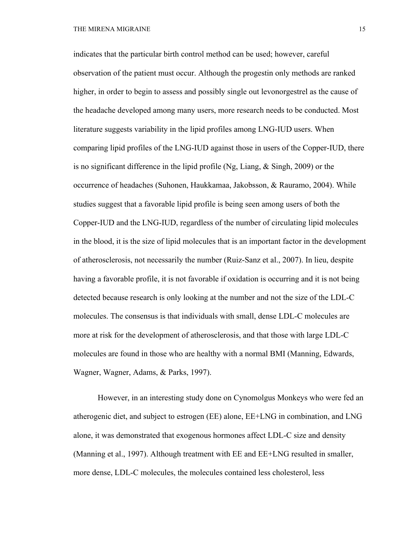indicates that the particular birth control method can be used; however, careful observation of the patient must occur. Although the progestin only methods are ranked higher, in order to begin to assess and possibly single out levonorgestrel as the cause of the headache developed among many users, more research needs to be conducted. Most literature suggests variability in the lipid profiles among LNG-IUD users. When comparing lipid profiles of the LNG-IUD against those in users of the Copper-IUD, there is no significant difference in the lipid profile (Ng, Liang,  $\&$  Singh, 2009) or the occurrence of headaches (Suhonen, Haukkamaa, Jakobsson, & Rauramo, 2004). While studies suggest that a favorable lipid profile is being seen among users of both the Copper-IUD and the LNG-IUD, regardless of the number of circulating lipid molecules in the blood, it is the size of lipid molecules that is an important factor in the development of atherosclerosis, not necessarily the number (Ruiz-Sanz et al., 2007). In lieu, despite having a favorable profile, it is not favorable if oxidation is occurring and it is not being detected because research is only looking at the number and not the size of the LDL-C molecules. The consensus is that individuals with small, dense LDL-C molecules are more at risk for the development of atherosclerosis, and that those with large LDL-C molecules are found in those who are healthy with a normal BMI (Manning, Edwards, Wagner, Wagner, Adams, & Parks, 1997).

However, in an interesting study done on Cynomolgus Monkeys who were fed an atherogenic diet, and subject to estrogen (EE) alone, EE+LNG in combination, and LNG alone, it was demonstrated that exogenous hormones affect LDL-C size and density (Manning et al., 1997). Although treatment with EE and EE+LNG resulted in smaller, more dense, LDL-C molecules, the molecules contained less cholesterol, less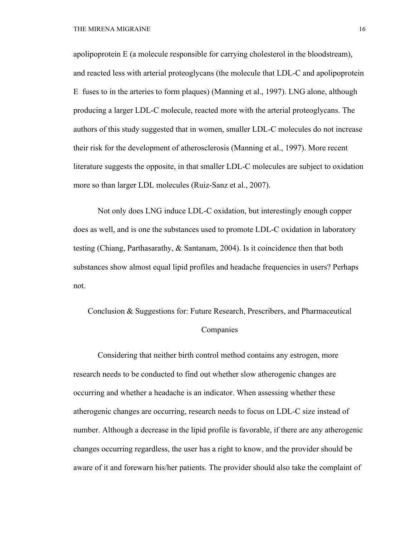apolipoprotein E (a molecule responsible for carrying cholesterol in the bloodstream), and reacted less with arterial proteoglycans (the molecule that LDL-C and apolipoprotein E fuses to in the arteries to form plaques) (Manning et al., 1997). LNG alone, although producing a larger LDL-C molecule, reacted more with the arterial proteoglycans. The authors of this study suggested that in women, smaller LDL-C molecules do not increase their risk for the development of atherosclerosis (Manning et al., 1997). More recent literature suggests the opposite, in that smaller LDL-C molecules are subject to oxidation more so than larger LDL molecules (Ruiz-Sanz et al., 2007).

Not only does LNG induce LDL-C oxidation, but interestingly enough copper does as well, and is one the substances used to promote LDL-C oxidation in laboratory testing (Chiang, Parthasarathy, & Santanam, 2004). Is it coincidence then that both substances show almost equal lipid profiles and headache frequencies in users? Perhaps not.

Conclusion & Suggestions for: Future Research, Prescribers, and Pharmaceutical Companies

Considering that neither birth control method contains any estrogen, more research needs to be conducted to find out whether slow atherogenic changes are occurring and whether a headache is an indicator. When assessing whether these atherogenic changes are occurring, research needs to focus on LDL-C size instead of number. Although a decrease in the lipid profile is favorable, if there are any atherogenic changes occurring regardless, the user has a right to know, and the provider should be aware of it and forewarn his/her patients. The provider should also take the complaint of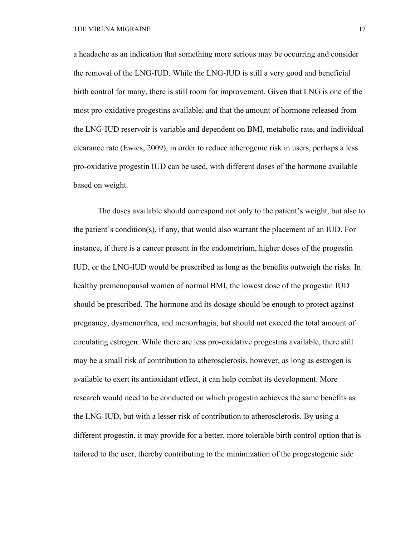a headache as an indication that something more serious may be occurring and consider the removal of the LNG-IUD. While the LNG-IUD is still a very good and beneficial birth control for many, there is still room for improvement. Given that LNG is one of the most pro-oxidative progestins available, and that the amount of hormone released from the LNG-IUD reservoir is variable and dependent on BMI, metabolic rate, and individual clearance rate (Ewies, 2009), in order to reduce atherogenic risk in users, perhaps a less pro-oxidative progestin IUD can be used, with different doses of the hormone available based on weight.

The doses available should correspond not only to the patient's weight, but also to the patient's condition(s), if any, that would also warrant the placement of an IUD. For instance, if there is a cancer present in the endometrium, higher doses of the progestin IUD, or the LNG-IUD would be prescribed as long as the benefits outweigh the risks. In healthy premenopausal women of normal BMI, the lowest dose of the progestin IUD should be prescribed. The hormone and its dosage should be enough to protect against pregnancy, dysmenorrhea, and menorrhagia, but should not exceed the total amount of circulating estrogen. While there are less pro-oxidative progestins available, there still may be a small risk of contribution to atherosclerosis, however, as long as estrogen is available to exert its antioxidant effect, it can help combat its development. More research would need to be conducted on which progestin achieves the same benefits as the LNG-IUD, but with a lesser risk of contribution to atherosclerosis. By using a different progestin, it may provide for a better, more tolerable birth control option that is tailored to the user, thereby contributing to the minimization of the progestogenic side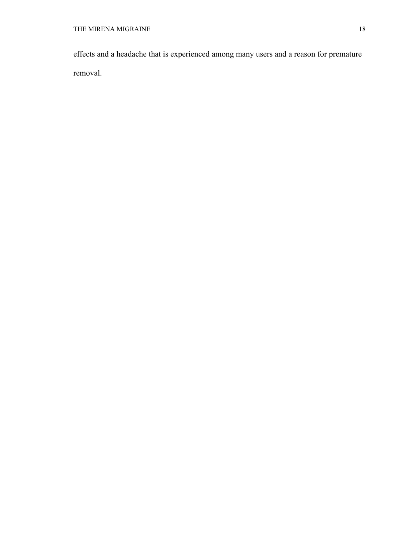effects and a headache that is experienced among many users and a reason for premature removal.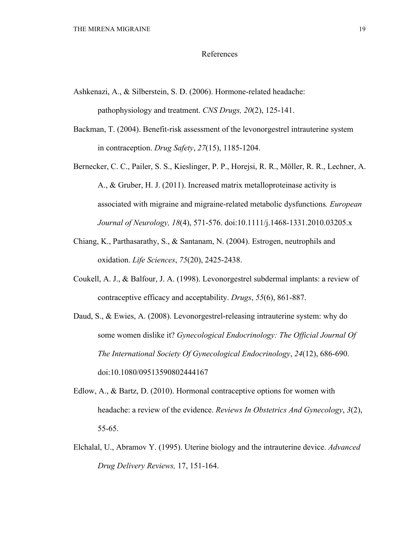#### References

- Ashkenazi, A., & Silberstein, S. D. (2006). Hormone-related headache: pathophysiology and treatment. *CNS Drugs, 20*(2), 125-141.
- Backman, T. (2004). Benefit-risk assessment of the levonorgestrel intrauterine system in contraception. *Drug Safety*, *27*(15), 1185-1204.
- Bernecker, C. C., Pailer, S. S., Kieslinger, P. P., Horejsi, R. R., Möller, R. R., Lechner, A. A., & Gruber, H. J. (2011). Increased matrix metalloproteinase activity is associated with migraine and migraine-related metabolic dysfunctions*. European Journal of Neurology, 18*(4), 571-576. doi:10.1111/j.1468-1331.2010.03205.x
- Chiang, K., Parthasarathy, S., & Santanam, N. (2004). Estrogen, neutrophils and oxidation. *Life Sciences*, *75*(20), 2425-2438.
- Coukell, A. J., & Balfour, J. A. (1998). Levonorgestrel subdermal implants: a review of contraceptive efficacy and acceptability. *Drugs*, *55*(6), 861-887.
- Daud, S., & Ewies, A. (2008). Levonorgestrel-releasing intrauterine system: why do some women dislike it? *Gynecological Endocrinology: The Official Journal Of The International Society Of Gynecological Endocrinology*, *24*(12), 686-690. doi:10.1080/09513590802444167
- Edlow, A., & Bartz, D. (2010). Hormonal contraceptive options for women with headache: a review of the evidence. *Reviews In Obstetrics And Gynecology*, *3*(2), 55-65.
- Elchalal, U., Abramov Y. (1995). Uterine biology and the intrauterine device. *Advanced Drug Delivery Reviews,* 17, 151-164.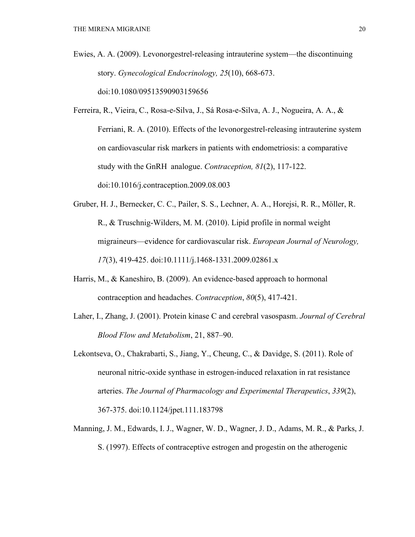- Ewies, A. A. (2009). Levonorgestrel-releasing intrauterine system—the discontinuing story. *Gynecological Endocrinology, 25*(10), 668-673. doi:10.1080/09513590903159656
- Ferreira, R., Vieira, C., Rosa-e-Silva, J., Sá Rosa-e-Silva, A. J., Nogueira, A. A., & Ferriani, R. A. (2010). Effects of the levonorgestrel-releasing intrauterine system on cardiovascular risk markers in patients with endometriosis: a comparative study with the GnRH analogue. *Contraception, 81*(2), 117-122. doi:10.1016/j.contraception.2009.08.003
- Gruber, H. J., Bernecker, C. C., Pailer, S. S., Lechner, A. A., Horejsi, R. R., Möller, R. R., & Truschnig-Wilders, M. M. (2010). Lipid profile in normal weight migraineurs—evidence for cardiovascular risk. *European Journal of Neurology, 17*(3), 419-425. doi:10.1111/j.1468-1331.2009.02861.x
- Harris, M., & Kaneshiro, B. (2009). An evidence-based approach to hormonal contraception and headaches. *Contraception*, *80*(5), 417-421.
- Laher, I., Zhang, J. (2001). Protein kinase C and cerebral vasospasm. *Journal of Cerebral Blood Flow and Metabolism*, 21, 887–90.
- Lekontseva, O., Chakrabarti, S., Jiang, Y., Cheung, C., & Davidge, S. (2011). Role of neuronal nitric-oxide synthase in estrogen-induced relaxation in rat resistance arteries. *The Journal of Pharmacology and Experimental Therapeutics*, *339*(2), 367-375. doi:10.1124/jpet.111.183798
- Manning, J. M., Edwards, I. J., Wagner, W. D., Wagner, J. D., Adams, M. R., & Parks, J. S. (1997). Effects of contraceptive estrogen and progestin on the atherogenic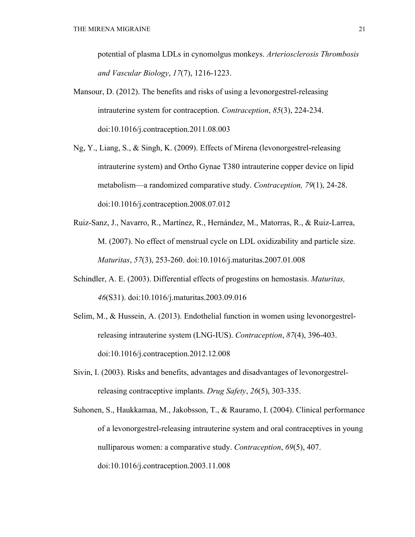potential of plasma LDLs in cynomolgus monkeys. *Arteriosclerosis Thrombosis and Vascular Biology*, *17*(7), 1216-1223.

- Mansour, D. (2012). The benefits and risks of using a levonorgestrel-releasing intrauterine system for contraception. *Contraception*, *85*(3), 224-234. doi:10.1016/j.contraception.2011.08.003
- Ng, Y., Liang, S., & Singh, K. (2009). Effects of Mirena (levonorgestrel-releasing intrauterine system) and Ortho Gynae T380 intrauterine copper device on lipid metabolism—a randomized comparative study. *Contraception, 79*(1), 24-28. doi:10.1016/j.contraception.2008.07.012
- Ruiz-Sanz, J., Navarro, R., Martínez, R., Hernández, M., Matorras, R., & Ruiz-Larrea, M. (2007). No effect of menstrual cycle on LDL oxidizability and particle size. *Maturitas*, *57*(3), 253-260. doi:10.1016/j.maturitas.2007.01.008
- Schindler, A. E. (2003). Differential effects of progestins on hemostasis. *Maturitas, 46*(S31). doi:10.1016/j.maturitas.2003.09.016
- Selim, M., & Hussein, A. (2013). Endothelial function in women using levonorgestrelreleasing intrauterine system (LNG-IUS). *Contraception*, *87*(4), 396-403. doi:10.1016/j.contraception.2012.12.008
- Sivin, I. (2003). Risks and benefits, advantages and disadvantages of levonorgestrelreleasing contraceptive implants. *Drug Safety*, *26*(5), 303-335.
- Suhonen, S., Haukkamaa, M., Jakobsson, T., & Rauramo, I. (2004). Clinical performance of a levonorgestrel-releasing intrauterine system and oral contraceptives in young nulliparous women: a comparative study. *Contraception*, *69*(5), 407. doi:10.1016/j.contraception.2003.11.008